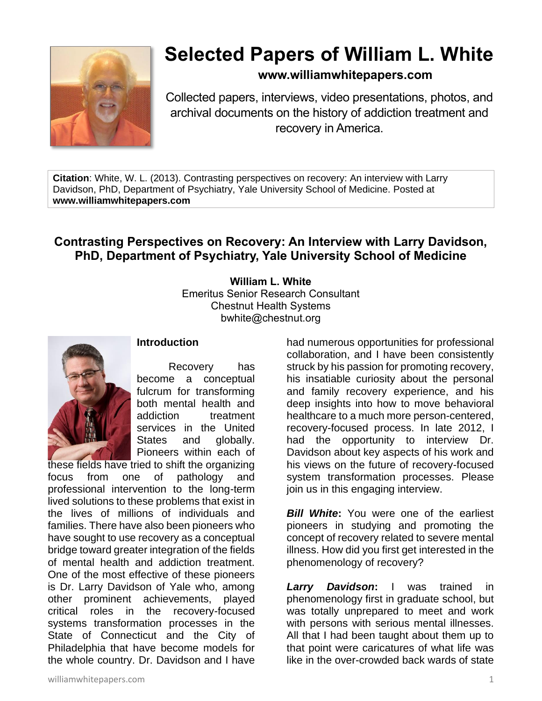

# **Selected Papers of William L. White**

## **www.williamwhitepapers.com**

Collected papers, interviews, video presentations, photos, and archival documents on the history of addiction treatment and recovery in America.

**Citation**: White, W. L. (2013). Contrasting perspectives on recovery: An interview with Larry Davidson, PhD, Department of Psychiatry, Yale University School of Medicine. Posted at **www.williamwhitepapers.com**

# **Contrasting Perspectives on Recovery: An Interview with Larry Davidson, PhD, Department of Psychiatry, Yale University School of Medicine**

**William L. White** Emeritus Senior Research Consultant Chestnut Health Systems bwhite@chestnut.org



### **Introduction**

Recovery has become a conceptual fulcrum for transforming both mental health and addiction treatment services in the United States and globally. Pioneers within each of

these fields have tried to shift the organizing focus from one of pathology and professional intervention to the long-term lived solutions to these problems that exist in the lives of millions of individuals and families. There have also been pioneers who have sought to use recovery as a conceptual bridge toward greater integration of the fields of mental health and addiction treatment. One of the most effective of these pioneers is Dr. Larry Davidson of Yale who, among other prominent achievements, played critical roles in the recovery-focused systems transformation processes in the State of Connecticut and the City of Philadelphia that have become models for the whole country. Dr. Davidson and I have

had numerous opportunities for professional collaboration, and I have been consistently struck by his passion for promoting recovery, his insatiable curiosity about the personal and family recovery experience, and his deep insights into how to move behavioral healthcare to a much more person-centered, recovery-focused process. In late 2012, I had the opportunity to interview Dr. Davidson about key aspects of his work and his views on the future of recovery-focused system transformation processes. Please join us in this engaging interview.

*Bill White*: You were one of the earliest pioneers in studying and promoting the concept of recovery related to severe mental illness. How did you first get interested in the phenomenology of recovery?

*Larry Davidson***:** I was trained in phenomenology first in graduate school, but was totally unprepared to meet and work with persons with serious mental illnesses. All that I had been taught about them up to that point were caricatures of what life was like in the over-crowded back wards of state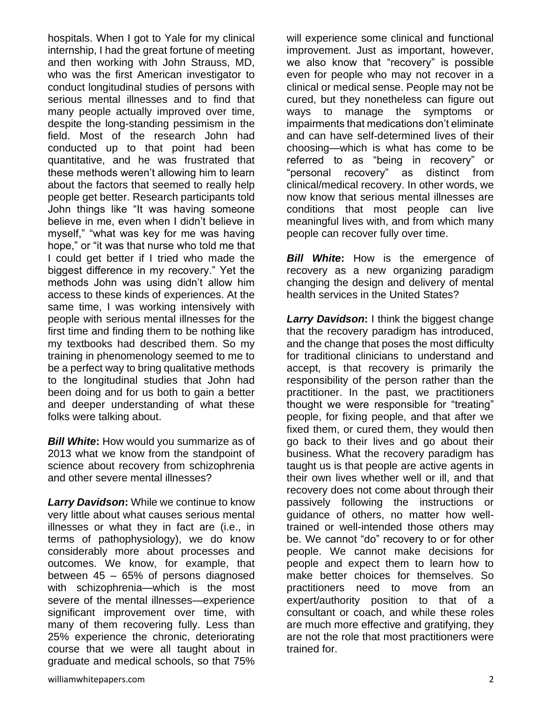hospitals. When I got to Yale for my clinical internship, I had the great fortune of meeting and then working with John Strauss, MD, who was the first American investigator to conduct longitudinal studies of persons with serious mental illnesses and to find that many people actually improved over time, despite the long-standing pessimism in the field. Most of the research John had conducted up to that point had been quantitative, and he was frustrated that these methods weren't allowing him to learn about the factors that seemed to really help people get better. Research participants told John things like "It was having someone believe in me, even when I didn't believe in myself," "what was key for me was having hope," or "it was that nurse who told me that I could get better if I tried who made the biggest difference in my recovery." Yet the methods John was using didn't allow him access to these kinds of experiences. At the same time, I was working intensively with people with serious mental illnesses for the first time and finding them to be nothing like my textbooks had described them. So my training in phenomenology seemed to me to be a perfect way to bring qualitative methods to the longitudinal studies that John had been doing and for us both to gain a better and deeper understanding of what these folks were talking about.

*Bill White***:** How would you summarize as of 2013 what we know from the standpoint of science about recovery from schizophrenia and other severe mental illnesses?

*Larry Davidson***:** While we continue to know very little about what causes serious mental illnesses or what they in fact are (i.e., in terms of pathophysiology), we do know considerably more about processes and outcomes. We know, for example, that between 45 – 65% of persons diagnosed with schizophrenia—which is the most severe of the mental illnesses—experience significant improvement over time, with many of them recovering fully. Less than 25% experience the chronic, deteriorating course that we were all taught about in graduate and medical schools, so that 75%

will experience some clinical and functional improvement. Just as important, however, we also know that "recovery" is possible even for people who may not recover in a clinical or medical sense. People may not be cured, but they nonetheless can figure out ways to manage the symptoms or impairments that medications don't eliminate and can have self-determined lives of their choosing—which is what has come to be referred to as "being in recovery" or "personal recovery" as distinct from clinical/medical recovery. In other words, we now know that serious mental illnesses are conditions that most people can live meaningful lives with, and from which many people can recover fully over time.

**Bill White:** How is the emergence of recovery as a new organizing paradigm changing the design and delivery of mental health services in the United States?

**Larry Davidson:** I think the biggest change that the recovery paradigm has introduced, and the change that poses the most difficulty for traditional clinicians to understand and accept, is that recovery is primarily the responsibility of the person rather than the practitioner. In the past, we practitioners thought we were responsible for "treating" people, for fixing people, and that after we fixed them, or cured them, they would then go back to their lives and go about their business. What the recovery paradigm has taught us is that people are active agents in their own lives whether well or ill, and that recovery does not come about through their passively following the instructions or guidance of others, no matter how welltrained or well-intended those others may be. We cannot "do" recovery to or for other people. We cannot make decisions for people and expect them to learn how to make better choices for themselves. So practitioners need to move from an expert/authority position to that of a consultant or coach, and while these roles are much more effective and gratifying, they are not the role that most practitioners were trained for.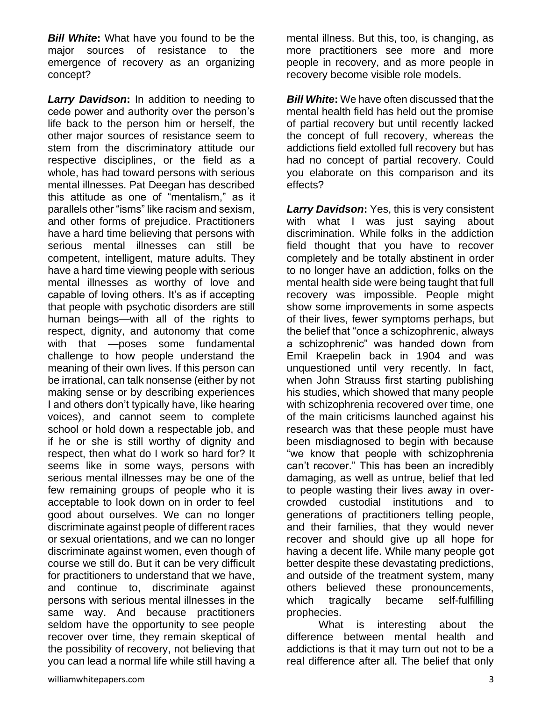*Bill White***:** What have you found to be the major sources of resistance to the emergence of recovery as an organizing concept?

*Larry Davidson***:** In addition to needing to cede power and authority over the person's life back to the person him or herself, the other major sources of resistance seem to stem from the discriminatory attitude our respective disciplines, or the field as a whole, has had toward persons with serious mental illnesses. Pat Deegan has described this attitude as one of "mentalism," as it parallels other "isms" like racism and sexism, and other forms of prejudice. Practitioners have a hard time believing that persons with serious mental illnesses can still be competent, intelligent, mature adults. They have a hard time viewing people with serious mental illnesses as worthy of love and capable of loving others. It's as if accepting that people with psychotic disorders are still human beings—with all of the rights to respect, dignity, and autonomy that come with that —poses some fundamental challenge to how people understand the meaning of their own lives. If this person can be irrational, can talk nonsense (either by not making sense or by describing experiences I and others don't typically have, like hearing voices), and cannot seem to complete school or hold down a respectable job, and if he or she is still worthy of dignity and respect, then what do I work so hard for? It seems like in some ways, persons with serious mental illnesses may be one of the few remaining groups of people who it is acceptable to look down on in order to feel good about ourselves. We can no longer discriminate against people of different races or sexual orientations, and we can no longer discriminate against women, even though of course we still do. But it can be very difficult for practitioners to understand that we have, and continue to, discriminate against persons with serious mental illnesses in the same way. And because practitioners seldom have the opportunity to see people recover over time, they remain skeptical of the possibility of recovery, not believing that you can lead a normal life while still having a

mental illness. But this, too, is changing, as more practitioners see more and more people in recovery, and as more people in recovery become visible role models.

*Bill White:* We have often discussed that the mental health field has held out the promise of partial recovery but until recently lacked the concept of full recovery, whereas the addictions field extolled full recovery but has had no concept of partial recovery. Could you elaborate on this comparison and its effects?

*Larry Davidson***:** Yes, this is very consistent with what I was just saying about discrimination. While folks in the addiction field thought that you have to recover completely and be totally abstinent in order to no longer have an addiction, folks on the mental health side were being taught that full recovery was impossible. People might show some improvements in some aspects of their lives, fewer symptoms perhaps, but the belief that "once a schizophrenic, always a schizophrenic" was handed down from Emil Kraepelin back in 1904 and was unquestioned until very recently. In fact, when John Strauss first starting publishing his studies, which showed that many people with schizophrenia recovered over time, one of the main criticisms launched against his research was that these people must have been misdiagnosed to begin with because "we know that people with schizophrenia can't recover." This has been an incredibly damaging, as well as untrue, belief that led to people wasting their lives away in overcrowded custodial institutions and to generations of practitioners telling people, and their families, that they would never recover and should give up all hope for having a decent life. While many people got better despite these devastating predictions, and outside of the treatment system, many others believed these pronouncements, which tragically became self-fulfilling prophecies.

What is interesting about the difference between mental health and addictions is that it may turn out not to be a real difference after all. The belief that only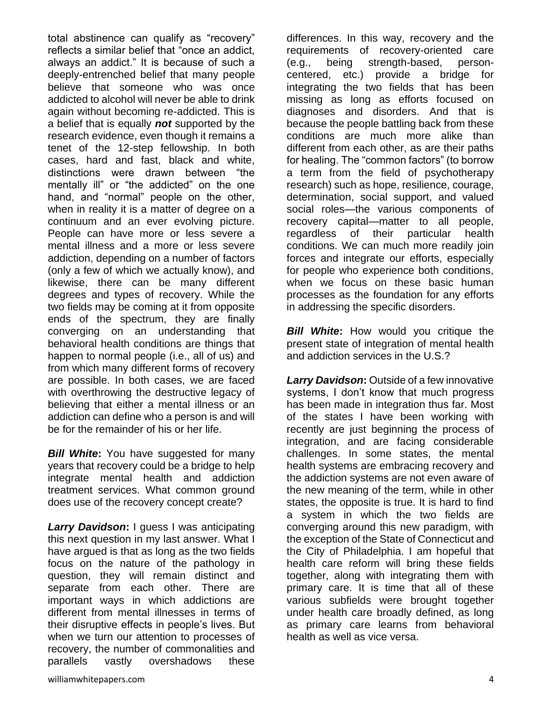total abstinence can qualify as "recovery" reflects a similar belief that "once an addict, always an addict." It is because of such a deeply-entrenched belief that many people believe that someone who was once addicted to alcohol will never be able to drink again without becoming re-addicted. This is a belief that is equally *not* supported by the research evidence, even though it remains a tenet of the 12-step fellowship. In both cases, hard and fast, black and white, distinctions were drawn between "the mentally ill" or "the addicted" on the one hand, and "normal" people on the other, when in reality it is a matter of degree on a continuum and an ever evolving picture. People can have more or less severe a mental illness and a more or less severe addiction, depending on a number of factors (only a few of which we actually know), and likewise, there can be many different degrees and types of recovery. While the two fields may be coming at it from opposite ends of the spectrum, they are finally converging on an understanding that behavioral health conditions are things that happen to normal people (i.e., all of us) and from which many different forms of recovery are possible. In both cases, we are faced with overthrowing the destructive legacy of believing that either a mental illness or an addiction can define who a person is and will be for the remainder of his or her life.

*Bill White*: You have suggested for many years that recovery could be a bridge to help integrate mental health and addiction treatment services. What common ground does use of the recovery concept create?

*Larry Davidson***:** I guess I was anticipating this next question in my last answer. What I have argued is that as long as the two fields focus on the nature of the pathology in question, they will remain distinct and separate from each other. There are important ways in which addictions are different from mental illnesses in terms of their disruptive effects in people's lives. But when we turn our attention to processes of recovery, the number of commonalities and parallels vastly overshadows these

differences. In this way, recovery and the requirements of recovery-oriented care (e.g., being strength-based, personcentered, etc.) provide a bridge for integrating the two fields that has been missing as long as efforts focused on diagnoses and disorders. And that is because the people battling back from these conditions are much more alike than different from each other, as are their paths for healing. The "common factors" (to borrow a term from the field of psychotherapy research) such as hope, resilience, courage, determination, social support, and valued social roles—the various components of recovery capital—matter to all people, regardless of their particular health conditions. We can much more readily join forces and integrate our efforts, especially for people who experience both conditions, when we focus on these basic human processes as the foundation for any efforts in addressing the specific disorders.

*Bill White*: How would you critique the present state of integration of mental health and addiction services in the U.S.?

*Larry Davidson***:** Outside of a few innovative systems, I don't know that much progress has been made in integration thus far. Most of the states I have been working with recently are just beginning the process of integration, and are facing considerable challenges. In some states, the mental health systems are embracing recovery and the addiction systems are not even aware of the new meaning of the term, while in other states, the opposite is true. It is hard to find a system in which the two fields are converging around this new paradigm, with the exception of the State of Connecticut and the City of Philadelphia. I am hopeful that health care reform will bring these fields together, along with integrating them with primary care. It is time that all of these various subfields were brought together under health care broadly defined, as long as primary care learns from behavioral health as well as vice versa.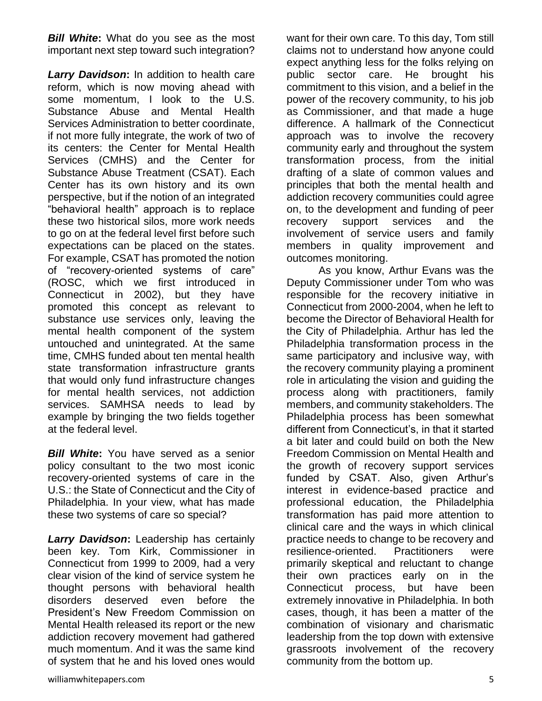*Bill White***:** What do you see as the most important next step toward such integration?

*Larry Davidson***:** In addition to health care reform, which is now moving ahead with some momentum, I look to the U.S. Substance Abuse and Mental Health Services Administration to better coordinate, if not more fully integrate, the work of two of its centers: the Center for Mental Health Services (CMHS) and the Center for Substance Abuse Treatment (CSAT). Each Center has its own history and its own perspective, but if the notion of an integrated "behavioral health" approach is to replace these two historical silos, more work needs to go on at the federal level first before such expectations can be placed on the states. For example, CSAT has promoted the notion of "recovery-oriented systems of care" (ROSC, which we first introduced in Connecticut in 2002), but they have promoted this concept as relevant to substance use services only, leaving the mental health component of the system untouched and unintegrated. At the same time, CMHS funded about ten mental health state transformation infrastructure grants that would only fund infrastructure changes for mental health services, not addiction services. SAMHSA needs to lead by example by bringing the two fields together at the federal level.

*Bill White***:** You have served as a senior policy consultant to the two most iconic recovery-oriented systems of care in the U.S.: the State of Connecticut and the City of Philadelphia. In your view, what has made these two systems of care so special?

*Larry Davidson***:** Leadership has certainly been key. Tom Kirk, Commissioner in Connecticut from 1999 to 2009, had a very clear vision of the kind of service system he thought persons with behavioral health disorders deserved even before the President's New Freedom Commission on Mental Health released its report or the new addiction recovery movement had gathered much momentum. And it was the same kind of system that he and his loved ones would want for their own care. To this day, Tom still claims not to understand how anyone could expect anything less for the folks relying on public sector care. He brought his commitment to this vision, and a belief in the power of the recovery community, to his job as Commissioner, and that made a huge difference. A hallmark of the Connecticut approach was to involve the recovery community early and throughout the system transformation process, from the initial drafting of a slate of common values and principles that both the mental health and addiction recovery communities could agree on, to the development and funding of peer recovery support services and the involvement of service users and family members in quality improvement and outcomes monitoring.

As you know, Arthur Evans was the Deputy Commissioner under Tom who was responsible for the recovery initiative in Connecticut from 2000-2004, when he left to become the Director of Behavioral Health for the City of Philadelphia. Arthur has led the Philadelphia transformation process in the same participatory and inclusive way, with the recovery community playing a prominent role in articulating the vision and guiding the process along with practitioners, family members, and community stakeholders. The Philadelphia process has been somewhat different from Connecticut's, in that it started a bit later and could build on both the New Freedom Commission on Mental Health and the growth of recovery support services funded by CSAT. Also, given Arthur's interest in evidence-based practice and professional education, the Philadelphia transformation has paid more attention to clinical care and the ways in which clinical practice needs to change to be recovery and resilience-oriented. Practitioners were primarily skeptical and reluctant to change their own practices early on in the Connecticut process, but have been extremely innovative in Philadelphia. In both cases, though, it has been a matter of the combination of visionary and charismatic leadership from the top down with extensive grassroots involvement of the recovery community from the bottom up.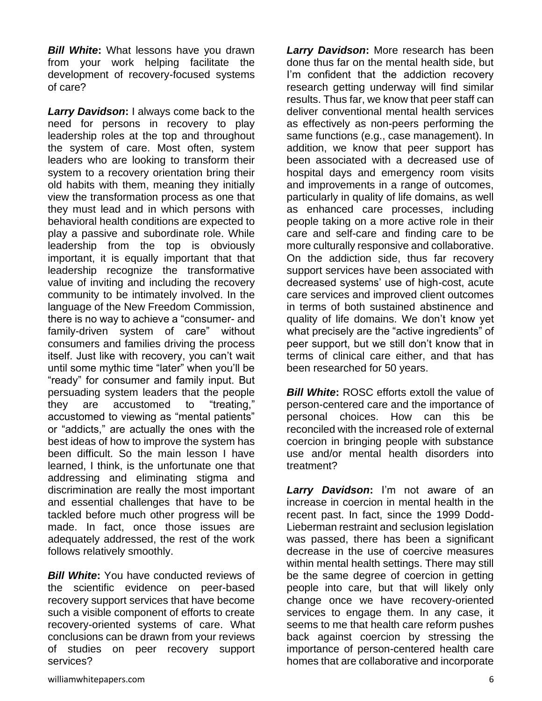**Bill White:** What lessons have you drawn from your work helping facilitate the development of recovery-focused systems of care?

**Larry Davidson:** I always come back to the need for persons in recovery to play leadership roles at the top and throughout the system of care. Most often, system leaders who are looking to transform their system to a recovery orientation bring their old habits with them, meaning they initially view the transformation process as one that they must lead and in which persons with behavioral health conditions are expected to play a passive and subordinate role. While leadership from the top is obviously important, it is equally important that that leadership recognize the transformative value of inviting and including the recovery community to be intimately involved. In the language of the New Freedom Commission, there is no way to achieve a "consumer- and family-driven system of care" without consumers and families driving the process itself. Just like with recovery, you can't wait until some mythic time "later" when you'll be "ready" for consumer and family input. But persuading system leaders that the people they are accustomed to "treating," accustomed to viewing as "mental patients" or "addicts," are actually the ones with the best ideas of how to improve the system has been difficult. So the main lesson I have learned, I think, is the unfortunate one that addressing and eliminating stigma and discrimination are really the most important and essential challenges that have to be tackled before much other progress will be made. In fact, once those issues are adequately addressed, the rest of the work follows relatively smoothly.

**Bill White:** You have conducted reviews of the scientific evidence on peer-based recovery support services that have become such a visible component of efforts to create recovery-oriented systems of care. What conclusions can be drawn from your reviews of studies on peer recovery support services?

*Larry Davidson***:** More research has been done thus far on the mental health side, but I'm confident that the addiction recovery research getting underway will find similar results. Thus far, we know that peer staff can deliver conventional mental health services as effectively as non-peers performing the same functions (e.g., case management). In addition, we know that peer support has been associated with a decreased use of hospital days and emergency room visits and improvements in a range of outcomes, particularly in quality of life domains, as well as enhanced care processes, including people taking on a more active role in their care and self-care and finding care to be more culturally responsive and collaborative. On the addiction side, thus far recovery support services have been associated with decreased systems' use of high-cost, acute care services and improved client outcomes in terms of both sustained abstinence and quality of life domains. We don't know yet what precisely are the "active ingredients" of peer support, but we still don't know that in terms of clinical care either, and that has been researched for 50 years.

*Bill White:* ROSC efforts extoll the value of person-centered care and the importance of personal choices. How can this be reconciled with the increased role of external coercion in bringing people with substance use and/or mental health disorders into treatment?

*Larry Davidson***:** I'm not aware of an increase in coercion in mental health in the recent past. In fact, since the 1999 Dodd-Lieberman restraint and seclusion legislation was passed, there has been a significant decrease in the use of coercive measures within mental health settings. There may still be the same degree of coercion in getting people into care, but that will likely only change once we have recovery-oriented services to engage them. In any case, it seems to me that health care reform pushes back against coercion by stressing the importance of person-centered health care homes that are collaborative and incorporate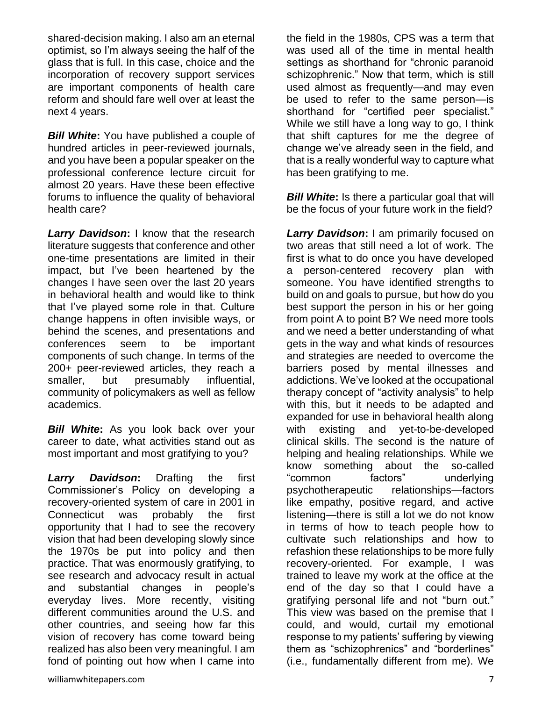shared-decision making. I also am an eternal optimist, so I'm always seeing the half of the glass that is full. In this case, choice and the incorporation of recovery support services are important components of health care reform and should fare well over at least the next 4 years.

*Bill White***:** You have published a couple of hundred articles in peer-reviewed journals, and you have been a popular speaker on the professional conference lecture circuit for almost 20 years. Have these been effective forums to influence the quality of behavioral health care?

*Larry Davidson***:** I know that the research literature suggests that conference and other one-time presentations are limited in their impact, but I've been heartened by the changes I have seen over the last 20 years in behavioral health and would like to think that I've played some role in that. Culture change happens in often invisible ways, or behind the scenes, and presentations and conferences seem to be important components of such change. In terms of the 200+ peer-reviewed articles, they reach a smaller, but presumably influential, community of policymakers as well as fellow academics.

*Bill White***:** As you look back over your career to date, what activities stand out as most important and most gratifying to you?

*Larry Davidson***:** Drafting the first Commissioner's Policy on developing a recovery-oriented system of care in 2001 in Connecticut was probably the first opportunity that I had to see the recovery vision that had been developing slowly since the 1970s be put into policy and then practice. That was enormously gratifying, to see research and advocacy result in actual and substantial changes in people's everyday lives. More recently, visiting different communities around the U.S. and other countries, and seeing how far this vision of recovery has come toward being realized has also been very meaningful. I am fond of pointing out how when I came into

the field in the 1980s, CPS was a term that was used all of the time in mental health settings as shorthand for "chronic paranoid schizophrenic." Now that term, which is still used almost as frequently—and may even be used to refer to the same person—is shorthand for "certified peer specialist." While we still have a long way to go, I think that shift captures for me the degree of change we've already seen in the field, and that is a really wonderful way to capture what has been gratifying to me.

*Bill White:* Is there a particular goal that will be the focus of your future work in the field?

*Larry Davidson***:** I am primarily focused on two areas that still need a lot of work. The first is what to do once you have developed a person-centered recovery plan with someone. You have identified strengths to build on and goals to pursue, but how do you best support the person in his or her going from point A to point B? We need more tools and we need a better understanding of what gets in the way and what kinds of resources and strategies are needed to overcome the barriers posed by mental illnesses and addictions. We've looked at the occupational therapy concept of "activity analysis" to help with this, but it needs to be adapted and expanded for use in behavioral health along with existing and yet-to-be-developed clinical skills. The second is the nature of helping and healing relationships. While we know something about the so-called "common factors" underlying psychotherapeutic relationships—factors like empathy, positive regard, and active listening—there is still a lot we do not know in terms of how to teach people how to cultivate such relationships and how to refashion these relationships to be more fully recovery-oriented. For example, I was trained to leave my work at the office at the end of the day so that I could have a gratifying personal life and not "burn out." This view was based on the premise that I could, and would, curtail my emotional response to my patients' suffering by viewing them as "schizophrenics" and "borderlines" (i.e., fundamentally different from me). We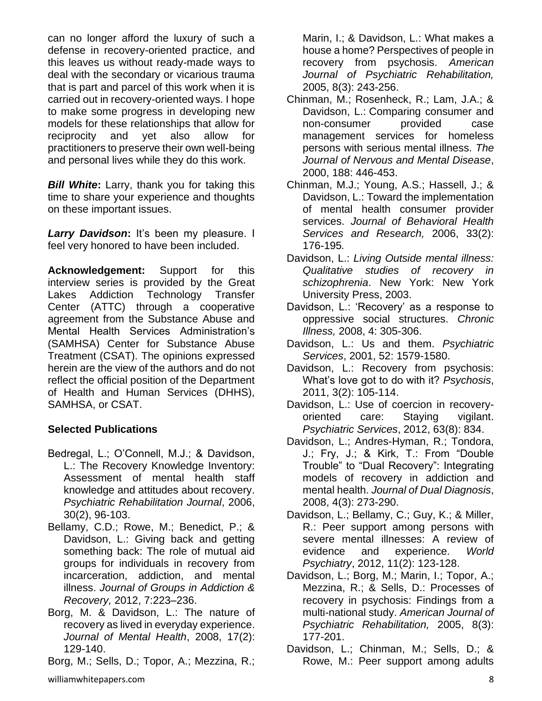can no longer afford the luxury of such a defense in recovery-oriented practice, and this leaves us without ready-made ways to deal with the secondary or vicarious trauma that is part and parcel of this work when it is carried out in recovery-oriented ways. I hope to make some progress in developing new models for these relationships that allow for reciprocity and yet also allow for practitioners to preserve their own well-being and personal lives while they do this work.

*Bill White***:** Larry, thank you for taking this time to share your experience and thoughts on these important issues.

*Larry Davidson***:** It's been my pleasure. I feel very honored to have been included.

**Acknowledgement:** Support for this interview series is provided by the Great Lakes Addiction Technology Transfer Center (ATTC) through a cooperative agreement from the Substance Abuse and Mental Health Services Administration's (SAMHSA) Center for Substance Abuse Treatment (CSAT). The opinions expressed herein are the view of the authors and do not reflect the official position of the Department of Health and Human Services (DHHS), SAMHSA, or CSAT.

#### **Selected Publications**

- Bedregal, L.; O'Connell, M.J.; & Davidson, L.: The Recovery Knowledge Inventory: Assessment of mental health staff knowledge and attitudes about recovery. *Psychiatric Rehabilitation Journal*, 2006, 30(2), 96-103.
- Bellamy, C.D.; Rowe, M.; Benedict, P.; & Davidson, L.: Giving back and getting something back: The role of mutual aid groups for individuals in recovery from incarceration, addiction, and mental illness. *Journal of Groups in Addiction & Recovery,* 2012, 7:223–236.
- Borg, M. & Davidson, L.: The nature of recovery as lived in everyday experience. *Journal of Mental Health*, 2008, 17(2): 129-140.
- Borg, M.; Sells, D.; Topor, A.; Mezzina, R.;

Marin, I.; & Davidson, L.: What makes a house a home? Perspectives of people in recovery from psychosis. *American Journal of Psychiatric Rehabilitation,*  2005, 8(3): 243-256.

- Chinman, M.; Rosenheck, R.; Lam, J.A.; & Davidson, L.: Comparing consumer and non-consumer provided case management services for homeless persons with serious mental illness. *The Journal of Nervous and Mental Disease*, 2000, 188: 446-453.
- Chinman, M.J.; Young, A.S.; Hassell, J.; & Davidson, L.: Toward the implementation of mental health consumer provider services. *Journal of Behavioral Health Services and Research,* 2006, 33(2): 176-195*.*
- Davidson, L.: *Living Outside mental illness: Qualitative studies of recovery in schizophrenia*. New York: New York University Press, 2003.
- Davidson, L.: 'Recovery' as a response to oppressive social structures. *Chronic Illness,* 2008, 4: 305-306.
- Davidson, L.: Us and them. *Psychiatric Services*, 2001, 52: 1579-1580.
- Davidson, L.: Recovery from psychosis: What's love got to do with it? *Psychosis*, 2011, 3(2): 105-114.
- Davidson, L.: Use of coercion in recoveryoriented care: Staying vigilant. *Psychiatric Services*, 2012, 63(8): 834.
- Davidson, L.; Andres-Hyman, R.; Tondora, J.; Fry, J.; & Kirk, T.: From "Double Trouble" to "Dual Recovery": Integrating models of recovery in addiction and mental health. *Journal of Dual Diagnosis*, 2008, 4(3): 273-290.
- Davidson, L.; Bellamy, C.; Guy, K.; & Miller, R.: Peer support among persons with severe mental illnesses: A review of evidence and experience. *World Psychiatry*, 2012, 11(2): 123-128.
- Davidson, L.; Borg, M.; Marin, I.; Topor, A.; Mezzina, R.; & Sells, D.: Processes of recovery in psychosis: Findings from a multi-national study. *American Journal of Psychiatric Rehabilitation,* 2005, 8(3): 177-201.
- Davidson, L.; Chinman, M.; Sells, D.; & Rowe, M.: Peer support among adults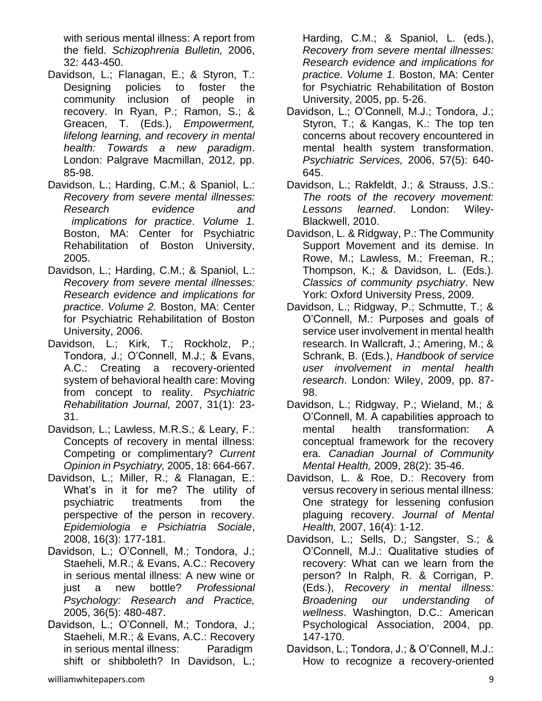with serious mental illness: A report from the field. *Schizophrenia Bulletin,* 2006, 32: 443-450.

- Davidson, L.; Flanagan, E.; & Styron, T.: Designing policies to foster the community inclusion of people in recovery. In Ryan, P.; Ramon, S.; & Greacen, T. (Eds.), *Empowerment, lifelong learning, and recovery in mental health: Towards a new paradigm*. London: Palgrave Macmillan, 2012, pp. 85-98.
- Davidson, L.; Harding, C.M.; & Spaniol, L.: *Recovery from severe mental illnesses: Research evidence and implications for practice*. *Volume 1.* Boston, MA: Center for Psychiatric Rehabilitation of Boston University, 2005.
- Davidson, L.; Harding, C.M.; & Spaniol, L.: *Recovery from severe mental illnesses: Research evidence and implications for practice*. *Volume 2.* Boston, MA: Center for Psychiatric Rehabilitation of Boston University, 2006.
- Davidson, L.; Kirk, T.; Rockholz, P.; Tondora, J.; O'Connell, M.J.; & Evans, A.C.: Creating a recovery-oriented system of behavioral health care: Moving from concept to reality. *Psychiatric Rehabilitation Journal,* 2007, 31(1): 23- 31.
- Davidson, L.; Lawless, M.R.S.; & Leary, F.: Concepts of recovery in mental illness: Competing or complimentary? *Current Opinion in Psychiatry,* 2005, 18: 664-667.
- Davidson, L.; Miller, R.; & Flanagan, E.: What's in it for me? The utility of psychiatric treatments from the perspective of the person in recovery. *Epidemiologia e Psichiatria Sociale*, 2008, 16(3): 177-181.
- Davidson, L.; O'Connell, M.; Tondora, J.; Staeheli, M.R.; & Evans, A.C.: Recovery in serious mental illness: A new wine or just a new bottle? *Professional Psychology: Research and Practice,*  2005, 36(5): 480-487.
- Davidson, L.; O'Connell, M.; Tondora, J.; Staeheli, M.R.; & Evans, A.C.: Recovery in serious mental illness: Paradigm shift or shibboleth? In Davidson, L.;

Harding, C.M.; & Spaniol, L. (eds.), *Recovery from severe mental illnesses: Research evidence and implications for practice*. *Volume 1.* Boston, MA: Center for Psychiatric Rehabilitation of Boston University, 2005, pp. 5-26.

- Davidson, L.; O'Connell, M.J.; Tondora, J.; Styron, T.; & Kangas, K.: The top ten concerns about recovery encountered in mental health system transformation. *Psychiatric Services,* 2006, 57(5): 640- 645.
- Davidson, L.; Rakfeldt, J.; & Strauss, J.S.: *The roots of the recovery movement: Lessons learned*. London: Wiley-Blackwell, 2010.
- Davidson, L. & Ridgway, P.: The Community Support Movement and its demise. In Rowe, M.; Lawless, M.; Freeman, R.; Thompson, K.; & Davidson, L. (Eds.). *Classics of community psychiatry*. New York: Oxford University Press, 2009.
- Davidson, L.; Ridgway, P.; Schmutte, T.; & O'Connell, M.: Purposes and goals of service user involvement in mental health research. In Wallcraft, J.; Amering, M.; & Schrank, B. (Eds.), *Handbook of service user involvement in mental health research*. London: Wiley, 2009, pp. 87- 98.
- Davidson, L.; Ridgway, P.; Wieland, M.; & O'Connell, M. A capabilities approach to mental health transformation: A conceptual framework for the recovery era. *Canadian Journal of Community Mental Health,* 2009, 28(2): 35-46.
- Davidson, L. & Roe, D.: Recovery from versus recovery in serious mental illness: One strategy for lessening confusion plaguing recovery. *Journal of Mental Health,* 2007, 16(4): 1-12.
- Davidson, L.; Sells, D.; Sangster, S.; & O'Connell, M.J.: Qualitative studies of recovery: What can we learn from the person? In Ralph, R. & Corrigan, P. (Eds.), *Recovery in mental illness: Broadening our understanding of wellness*. Washington, D.C.: American Psychological Association, 2004, pp. 147-170.
- Davidson, L.; Tondora, J.; & O'Connell, M.J.: How to recognize a recovery-oriented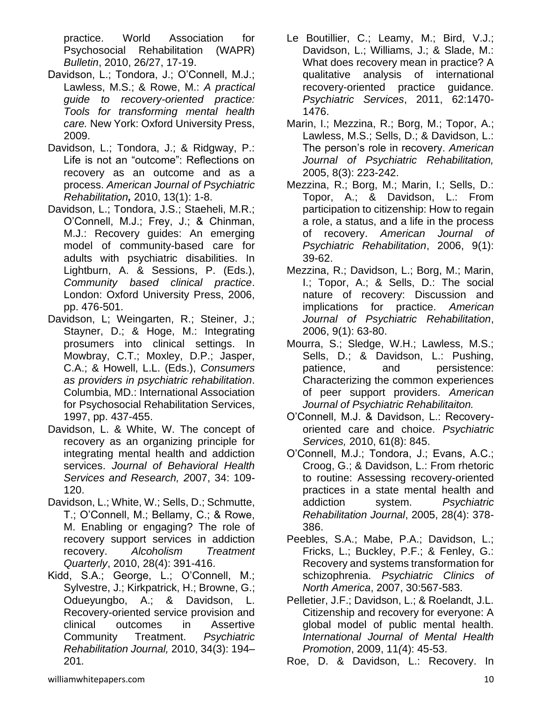practice. World Association for Psychosocial Rehabilitation (WAPR) *Bulletin*, 2010, 26/27, 17-19.

- Davidson, L.; Tondora, J.; O'Connell, M.J.; Lawless, M.S.; & Rowe, M.: *A practical guide to recovery-oriented practice: Tools for transforming mental health care.* New York: Oxford University Press, 2009.
- Davidson, L.; Tondora, J.; & Ridgway, P.: Life is not an "outcome": Reflections on recovery as an outcome and as a process. *American Journal of Psychiatric Rehabilitation,* 2010, 13(1): 1-8.
- Davidson, L.; Tondora, J.S.; Staeheli, M.R.; O'Connell, M.J.; Frey, J.; & Chinman, M.J.: Recovery guides: An emerging model of community-based care for adults with psychiatric disabilities. In Lightburn, A. & Sessions, P. (Eds.), *Community based clinical practice*. London: Oxford University Press, 2006, pp. 476-501.
- Davidson, L; Weingarten, R.; Steiner, J.; Stayner, D.; & Hoge, M.: Integrating prosumers into clinical settings. In Mowbray, C.T.; Moxley, D.P.; Jasper, C.A.; & Howell, L.L. (Eds.), *Consumers as providers in psychiatric rehabilitation*. Columbia, MD.: International Association for Psychosocial Rehabilitation Services, 1997, pp. 437-455.
- Davidson, L. & White, W. The concept of recovery as an organizing principle for integrating mental health and addiction services. *Journal of Behavioral Health Services and Research, 2*007, 34: 109- 120.
- Davidson, L.; White, W.; Sells, D.; Schmutte, T.; O'Connell, M.; Bellamy, C.; & Rowe, M. Enabling or engaging? The role of recovery support services in addiction recovery. *Alcoholism Treatment Quarterly*, 2010, 28(4): 391-416.
- Kidd, S.A.; George, L.; O'Connell, M.; Sylvestre, J.; Kirkpatrick, H.; Browne, G.; Odueyungbo, A.; & Davidson, L. Recovery-oriented service provision and clinical outcomes in Assertive Community Treatment. *Psychiatric Rehabilitation Journal,* 2010, 34(3): 194– 201*.*
- Le Boutillier, C.; Leamy, M.; Bird, V.J.; Davidson, L.; Williams, J.; & Slade, M.: What does recovery mean in practice? A qualitative analysis of international recovery-oriented practice guidance. *Psychiatric Services*, 2011, 62:1470- 1476.
- Marin, I.; Mezzina, R.; Borg, M.; Topor, A.; Lawless, M.S.; Sells, D.; & Davidson, L.: The person's role in recovery. *American Journal of Psychiatric Rehabilitation,*  2005, 8(3): 223-242.
- Mezzina, R.; Borg, M.; Marin, I.; Sells, D.: Topor, A.; & Davidson, L.: From participation to citizenship: How to regain a role, a status, and a life in the process of recovery. *American Journal of Psychiatric Rehabilitation*, 2006, 9(1): 39-62.
- Mezzina, R.; Davidson, L.; Borg, M.; Marin, I.; Topor, A.; & Sells, D.: The social nature of recovery: Discussion and implications for practice. *American Journal of Psychiatric Rehabilitation*, 2006, 9(1): 63-80.
- Mourra, S.; Sledge, W.H.; Lawless, M.S.; Sells, D.; & Davidson, L.: Pushing, patience, and persistence: Characterizing the common experiences of peer support providers. *American Journal of Psychiatric Rehabilitaiton.*
- O'Connell, M.J. & Davidson, L.: Recoveryoriented care and choice. *Psychiatric Services,* 2010, 61(8): 845.
- O'Connell, M.J.; Tondora, J.; Evans, A.C.; Croog, G.; & Davidson, L.: From rhetoric to routine: Assessing recovery-oriented practices in a state mental health and addiction system. *Psychiatric Rehabilitation Journal*, 2005, 28(4): 378- 386.
- Peebles, S.A.; Mabe, P.A.; Davidson, L.; Fricks, L.; Buckley, P.F.; & Fenley, G.: Recovery and systems transformation for schizophrenia. *Psychiatric Clinics of North America*, 2007, 30:567-583.
- Pelletier, J.F.; Davidson, L.; & Roelandt, J.L. Citizenship and recovery for everyone: A global model of public mental health. *International Journal of Mental Health Promotion*, 2009, 11*(*4): 45-53.

Roe, D. & Davidson, L.: Recovery. In